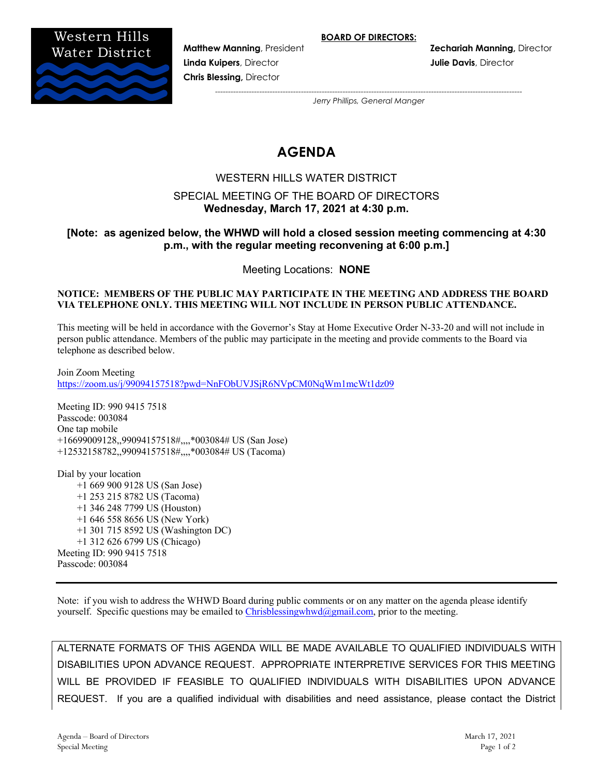

**Linda Kuipers**, Director **Julie Davis**, Director **Chris Blessing,** Director

**Matthew Manning**, President **Zechariah Manning,** Director

*---------------------------------------------------------------------------------------------------------------------- Jerry Phillips, General Manger*

# **AGENDA**

# WESTERN HILLS WATER DISTRICT

# SPECIAL MEETING OF THE BOARD OF DIRECTORS **Wednesday, March 17, 2021 at 4:30 p.m.**

# **[Note: as agenized below, the WHWD will hold a closed session meeting commencing at 4:30 p.m., with the regular meeting reconvening at 6:00 p.m.]**

Meeting Locations: **NONE**

#### **NOTICE: MEMBERS OF THE PUBLIC MAY PARTICIPATE IN THE MEETING AND ADDRESS THE BOARD VIA TELEPHONE ONLY. THIS MEETING WILL NOT INCLUDE IN PERSON PUBLIC ATTENDANCE.**

This meeting will be held in accordance with the Governor's Stay at Home Executive Order N-33-20 and will not include in person public attendance. Members of the public may participate in the meeting and provide comments to the Board via telephone as described below.

Join Zoom Meeting https://zoom.us/j/99094157518?pwd=NnFObUVJSjR6NVpCM0NqWm1mcWt1dz09

Meeting ID: 990 9415 7518 Passcode: 003084 One tap mobile +16699009128,,99094157518#,,,,\*003084# US (San Jose) +12532158782,,99094157518#,,,,\*003084# US (Tacoma)

Dial by your location +1 669 900 9128 US (San Jose) +1 253 215 8782 US (Tacoma) +1 346 248 7799 US (Houston) +1 646 558 8656 US (New York) +1 301 715 8592 US (Washington DC) +1 312 626 6799 US (Chicago) Meeting ID: 990 9415 7518 Passcode: 003084

Note: if you wish to address the WHWD Board during public comments or on any matter on the agenda please identify yourself. Specific questions may be emailed to  $\frac{Christbesingwhwd(\partial gmail.com)}{Comset}$ , prior to the meeting.

ALTERNATE FORMATS OF THIS AGENDA WILL BE MADE AVAILABLE TO QUALIFIED INDIVIDUALS WITH DISABILITIES UPON ADVANCE REQUEST. APPROPRIATE INTERPRETIVE SERVICES FOR THIS MEETING WILL BE PROVIDED IF FEASIBLE TO QUALIFIED INDIVIDUALS WITH DISABILITIES UPON ADVANCE REQUEST. If you are a qualified individual with disabilities and need assistance, please contact the District